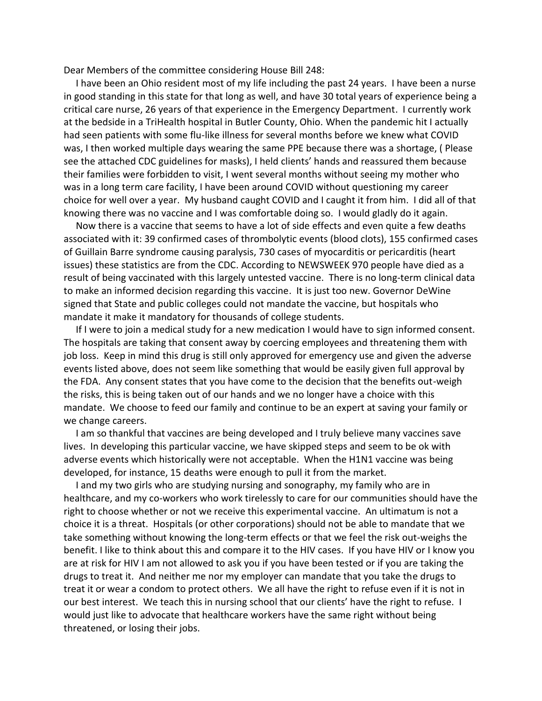Dear Members of the committee considering House Bill 248:

 I have been an Ohio resident most of my life including the past 24 years. I have been a nurse in good standing in this state for that long as well, and have 30 total years of experience being a critical care nurse, 26 years of that experience in the Emergency Department. I currently work at the bedside in a TriHealth hospital in Butler County, Ohio. When the pandemic hit I actually had seen patients with some flu-like illness for several months before we knew what COVID was, I then worked multiple days wearing the same PPE because there was a shortage, ( Please see the attached CDC guidelines for masks), I held clients' hands and reassured them because their families were forbidden to visit, I went several months without seeing my mother who was in a long term care facility, I have been around COVID without questioning my career choice for well over a year. My husband caught COVID and I caught it from him. I did all of that knowing there was no vaccine and I was comfortable doing so. I would gladly do it again.

 Now there is a vaccine that seems to have a lot of side effects and even quite a few deaths associated with it: 39 confirmed cases of thrombolytic events (blood clots), 155 confirmed cases of Guillain Barre syndrome causing paralysis, 730 cases of myocarditis or pericarditis (heart issues) these statistics are from the CDC. According to NEWSWEEK 970 people have died as a result of being vaccinated with this largely untested vaccine. There is no long-term clinical data to make an informed decision regarding this vaccine. It is just too new. Governor DeWine signed that State and public colleges could not mandate the vaccine, but hospitals who mandate it make it mandatory for thousands of college students.

 If I were to join a medical study for a new medication I would have to sign informed consent. The hospitals are taking that consent away by coercing employees and threatening them with job loss. Keep in mind this drug is still only approved for emergency use and given the adverse events listed above, does not seem like something that would be easily given full approval by the FDA. Any consent states that you have come to the decision that the benefits out-weigh the risks, this is being taken out of our hands and we no longer have a choice with this mandate. We choose to feed our family and continue to be an expert at saving your family or we change careers.

 I am so thankful that vaccines are being developed and I truly believe many vaccines save lives. In developing this particular vaccine, we have skipped steps and seem to be ok with adverse events which historically were not acceptable. When the H1N1 vaccine was being developed, for instance, 15 deaths were enough to pull it from the market.

 I and my two girls who are studying nursing and sonography, my family who are in healthcare, and my co-workers who work tirelessly to care for our communities should have the right to choose whether or not we receive this experimental vaccine. An ultimatum is not a choice it is a threat. Hospitals (or other corporations) should not be able to mandate that we take something without knowing the long-term effects or that we feel the risk out-weighs the benefit. I like to think about this and compare it to the HIV cases. If you have HIV or I know you are at risk for HIV I am not allowed to ask you if you have been tested or if you are taking the drugs to treat it. And neither me nor my employer can mandate that you take the drugs to treat it or wear a condom to protect others. We all have the right to refuse even if it is not in our best interest. We teach this in nursing school that our clients' have the right to refuse. I would just like to advocate that healthcare workers have the same right without being threatened, or losing their jobs.